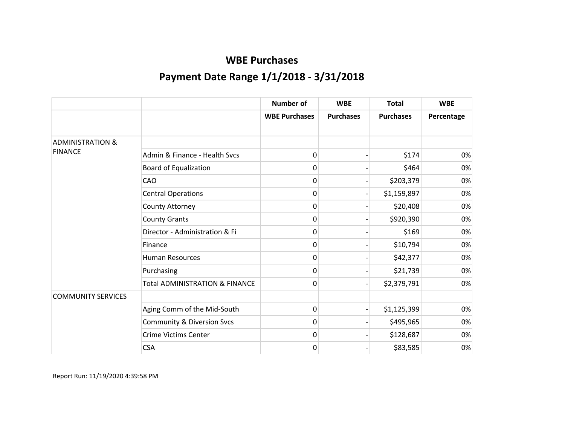|                             |                                           | <b>Number of</b>     | <b>WBE</b>               | <b>Total</b>     | <b>WBE</b>        |
|-----------------------------|-------------------------------------------|----------------------|--------------------------|------------------|-------------------|
|                             |                                           | <b>WBE Purchases</b> | <b>Purchases</b>         | <b>Purchases</b> | <b>Percentage</b> |
|                             |                                           |                      |                          |                  |                   |
| <b>ADMINISTRATION &amp;</b> |                                           |                      |                          |                  |                   |
| <b>FINANCE</b>              | Admin & Finance - Health Svcs             | 0                    |                          | \$174            | 0%                |
|                             | <b>Board of Equalization</b>              | 0                    |                          | \$464            | 0%                |
|                             | <b>CAO</b>                                | 0                    |                          | \$203,379        | 0%                |
|                             | <b>Central Operations</b>                 | 0                    |                          | \$1,159,897      | 0%                |
|                             | County Attorney                           | 0                    |                          | \$20,408         | 0%                |
|                             | <b>County Grants</b>                      | 0                    |                          | \$920,390        | 0%                |
|                             | Director - Administration & Fi            | 0                    |                          | \$169            | 0%                |
|                             | Finance                                   | 0                    |                          | \$10,794         | 0%                |
|                             | <b>Human Resources</b>                    | 0                    |                          | \$42,377         | 0%                |
|                             | Purchasing                                | 0                    |                          | \$21,739         | 0%                |
|                             | <b>Total ADMINISTRATION &amp; FINANCE</b> | $\overline{0}$       | $\overline{\phantom{0}}$ | \$2,379,791      | 0%                |
| <b>COMMUNITY SERVICES</b>   |                                           |                      |                          |                  |                   |
|                             | Aging Comm of the Mid-South               | 0                    |                          | \$1,125,399      | 0%                |
|                             | <b>Community &amp; Diversion Svcs</b>     | 0                    |                          | \$495,965        | 0%                |
|                             | <b>Crime Victims Center</b>               | 0                    |                          | \$128,687        | 0%                |
|                             | <b>CSA</b>                                | 0                    |                          | \$83,585         | 0%                |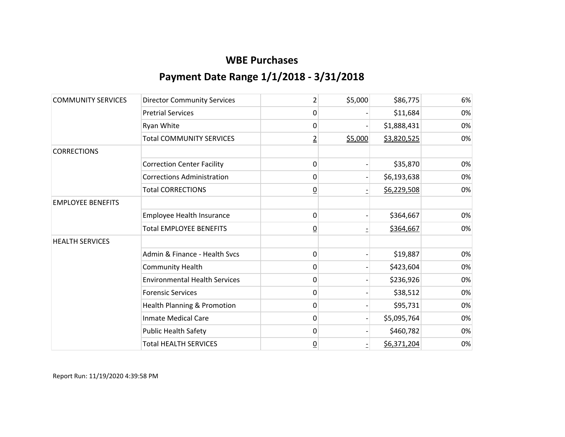| <b>COMMUNITY SERVICES</b> | <b>Director Community Services</b>     | 2               | \$5,000 | \$86,775    | 6% |
|---------------------------|----------------------------------------|-----------------|---------|-------------|----|
|                           | <b>Pretrial Services</b>               | 0               |         | \$11,684    | 0% |
|                           | Ryan White                             | 0               |         | \$1,888,431 | 0% |
|                           | <b>Total COMMUNITY SERVICES</b>        | $\overline{2}$  | \$5,000 | \$3,820,525 | 0% |
| <b>CORRECTIONS</b>        |                                        |                 |         |             |    |
|                           | <b>Correction Center Facility</b>      | 0               |         | \$35,870    | 0% |
|                           | <b>Corrections Administration</b>      | 0               |         | \$6,193,638 | 0% |
|                           | <b>Total CORRECTIONS</b>               | $\overline{0}$  |         | \$6,229,508 | 0% |
| <b>EMPLOYEE BENEFITS</b>  |                                        |                 |         |             |    |
|                           | Employee Health Insurance              | 0               |         | \$364,667   | 0% |
|                           | <b>Total EMPLOYEE BENEFITS</b>         | $\overline{0}$  |         | \$364,667   | 0% |
| <b>HEALTH SERVICES</b>    |                                        |                 |         |             |    |
|                           | Admin & Finance - Health Svcs          | 0               |         | \$19,887    | 0% |
|                           | <b>Community Health</b>                | 0               |         | \$423,604   | 0% |
|                           | <b>Environmental Health Services</b>   | 0               |         | \$236,926   | 0% |
|                           | <b>Forensic Services</b>               | 0               |         | \$38,512    | 0% |
|                           | <b>Health Planning &amp; Promotion</b> | 0               |         | \$95,731    | 0% |
|                           | <b>Inmate Medical Care</b>             | 0               |         | \$5,095,764 | 0% |
|                           | <b>Public Health Safety</b>            | 0               |         | \$460,782   | 0% |
|                           | <b>Total HEALTH SERVICES</b>           | $\underline{0}$ |         | \$6,371,204 | 0% |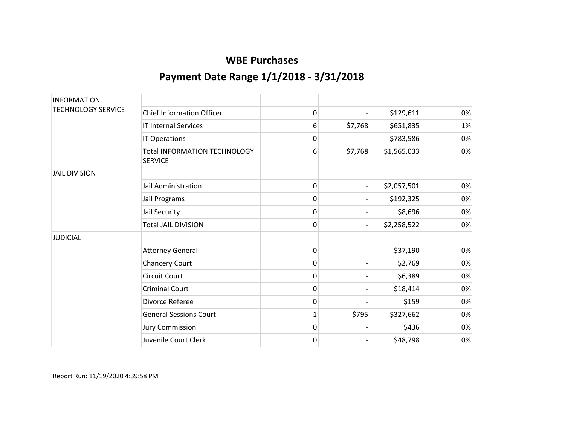| <b>INFORMATION</b>        |                                                       |                |         |             |    |
|---------------------------|-------------------------------------------------------|----------------|---------|-------------|----|
| <b>TECHNOLOGY SERVICE</b> | <b>Chief Information Officer</b>                      | 0              |         | \$129,611   | 0% |
|                           | <b>IT Internal Services</b>                           | 6              | \$7,768 | \$651,835   | 1% |
|                           | IT Operations                                         | 0              |         | \$783,586   | 0% |
|                           | <b>Total INFORMATION TECHNOLOGY</b><br><b>SERVICE</b> | <u>6</u>       | \$7,768 | \$1,565,033 | 0% |
| <b>JAIL DIVISION</b>      |                                                       |                |         |             |    |
|                           | Jail Administration                                   | 0              |         | \$2,057,501 | 0% |
|                           | Jail Programs                                         | 0              |         | \$192,325   | 0% |
|                           | Jail Security                                         | 0              |         | \$8,696     | 0% |
|                           | <b>Total JAIL DIVISION</b>                            | $\overline{0}$ |         | \$2,258,522 | 0% |
| <b>JUDICIAL</b>           |                                                       |                |         |             |    |
|                           | <b>Attorney General</b>                               | 0              |         | \$37,190    | 0% |
|                           | <b>Chancery Court</b>                                 | 0              |         | \$2,769     | 0% |
|                           | <b>Circuit Court</b>                                  | 0              |         | \$6,389     | 0% |
|                           | <b>Criminal Court</b>                                 | 0              |         | \$18,414    | 0% |
|                           | Divorce Referee                                       | 0              |         | \$159       | 0% |
|                           | <b>General Sessions Court</b>                         | 1              | \$795   | \$327,662   | 0% |
|                           | <b>Jury Commission</b>                                | 0              |         | \$436       | 0% |
|                           | Juvenile Court Clerk                                  | 0              |         | \$48,798    | 0% |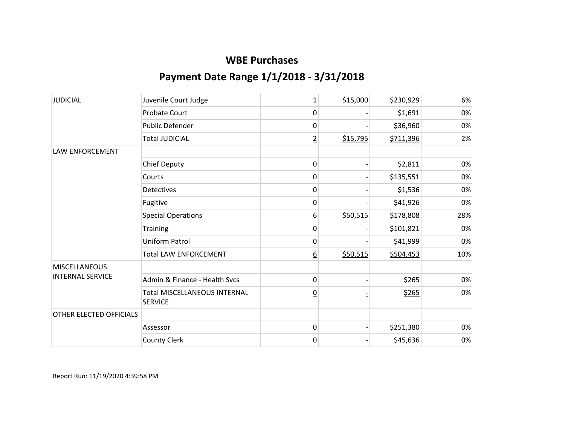| <b>JUDICIAL</b>         | Juvenile Court Judge                                  | $\mathbf{1}$     | \$15,000 | \$230,929 | 6%  |
|-------------------------|-------------------------------------------------------|------------------|----------|-----------|-----|
|                         | Probate Court                                         | 0                |          | \$1,691   | 0%  |
|                         | Public Defender                                       | 0                |          | \$36,960  | 0%  |
|                         | <b>Total JUDICIAL</b>                                 | $\overline{2}$   | \$15,795 | \$711,396 | 2%  |
| LAW ENFORCEMENT         |                                                       |                  |          |           |     |
|                         | <b>Chief Deputy</b>                                   | 0                |          | \$2,811   | 0%  |
|                         | Courts                                                | 0                |          | \$135,551 | 0%  |
|                         | <b>Detectives</b>                                     | 0                |          | \$1,536   | 0%  |
|                         | Fugitive                                              | 0                |          | \$41,926  | 0%  |
|                         | <b>Special Operations</b>                             | 6                | \$50,515 | \$178,808 | 28% |
|                         | Training                                              | 0                |          | \$101,821 | 0%  |
|                         | <b>Uniform Patrol</b>                                 | 0                |          | \$41,999  | 0%  |
|                         | <b>Total LAW ENFORCEMENT</b>                          | $6 \overline{6}$ | \$50,515 | \$504,453 | 10% |
| <b>MISCELLANEOUS</b>    |                                                       |                  |          |           |     |
| <b>INTERNAL SERVICE</b> | Admin & Finance - Health Svcs                         | 0                |          | \$265     | 0%  |
|                         | <b>Total MISCELLANEOUS INTERNAL</b><br><b>SERVICE</b> | $\overline{0}$   |          | \$265     | 0%  |
| OTHER ELECTED OFFICIALS |                                                       |                  |          |           |     |
|                         | Assessor                                              | $\mathbf 0$      |          | \$251,380 | 0%  |
|                         | County Clerk                                          | 0                |          | \$45,636  | 0%  |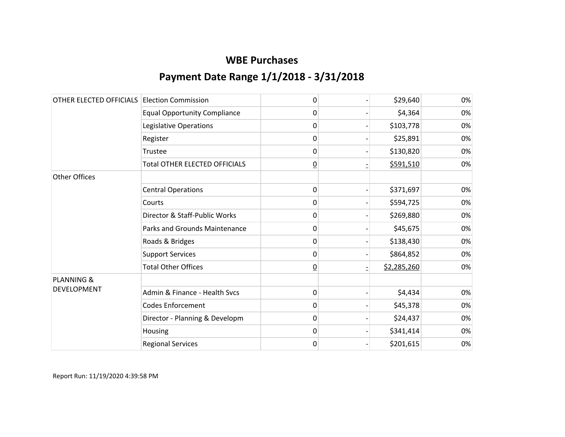| OTHER ELECTED OFFICIALS Election Commission |                                      | 0              | \$29,640    | 0% |
|---------------------------------------------|--------------------------------------|----------------|-------------|----|
|                                             | <b>Equal Opportunity Compliance</b>  | 0              | \$4,364     | 0% |
|                                             | Legislative Operations               | 0              | \$103,778   | 0% |
|                                             | Register                             | 0              | \$25,891    | 0% |
|                                             | Trustee                              | 0              | \$130,820   | 0% |
|                                             | <b>Total OTHER ELECTED OFFICIALS</b> | $\overline{0}$ | \$591,510   | 0% |
| <b>Other Offices</b>                        |                                      |                |             |    |
|                                             | <b>Central Operations</b>            | 0              | \$371,697   | 0% |
|                                             | Courts                               | 0              | \$594,725   | 0% |
|                                             | Director & Staff-Public Works        | 0              | \$269,880   | 0% |
|                                             | Parks and Grounds Maintenance        | 0              | \$45,675    | 0% |
|                                             | Roads & Bridges                      | 0              | \$138,430   | 0% |
|                                             | <b>Support Services</b>              | 0              | \$864,852   | 0% |
|                                             | <b>Total Other Offices</b>           | $\overline{0}$ | \$2,285,260 | 0% |
| <b>PLANNING &amp;</b>                       |                                      |                |             |    |
| DEVELOPMENT                                 | Admin & Finance - Health Svcs        | $\mathbf 0$    | \$4,434     | 0% |
|                                             | <b>Codes Enforcement</b>             | 0              | \$45,378    | 0% |
|                                             | Director - Planning & Developm       | 0              | \$24,437    | 0% |
|                                             | Housing                              | $\mathbf 0$    | \$341,414   | 0% |
|                                             | <b>Regional Services</b>             | 0              | \$201,615   | 0% |